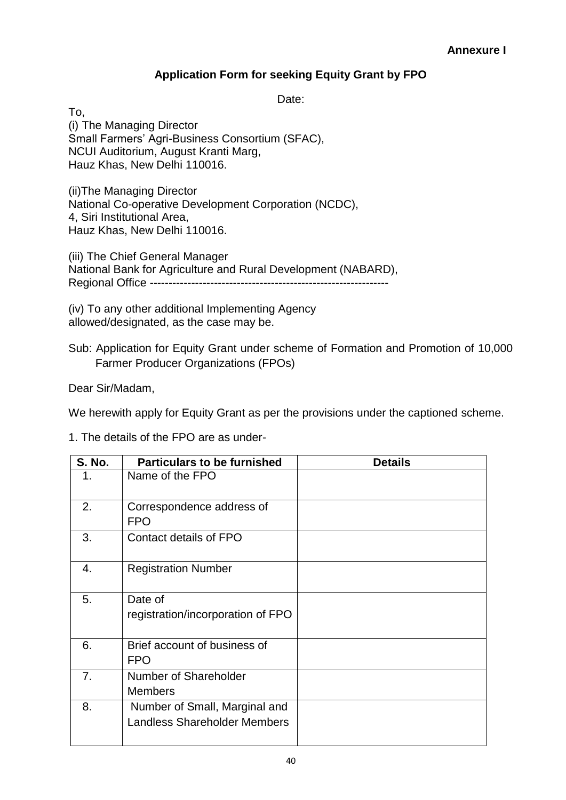## **Application Form for seeking Equity Grant by FPO**

Date:

To, (i) The Managing Director Small Farmers' Agri-Business Consortium (SFAC), NCUI Auditorium, August Kranti Marg, Hauz Khas, New Delhi 110016.

(ii)The Managing Director National Co-operative Development Corporation (NCDC), 4, Siri Institutional Area, Hauz Khas, New Delhi 110016.

(iii) The Chief General Manager National Bank for Agriculture and Rural Development (NABARD), Regional Office ---------------------------------------------------------------

(iv) To any other additional Implementing Agency allowed/designated, as the case may be.

Sub: Application for Equity Grant under scheme of Formation and Promotion of 10,000 Farmer Producer Organizations (FPOs)

Dear Sir/Madam,

We herewith apply for Equity Grant as per the provisions under the captioned scheme.

1. The details of the FPO are as under-

| <b>S. No.</b> | <b>Particulars to be furnished</b>                                   | <b>Details</b> |  |  |
|---------------|----------------------------------------------------------------------|----------------|--|--|
| 1.            | Name of the FPO                                                      |                |  |  |
| 2.            | Correspondence address of<br><b>FPO</b>                              |                |  |  |
| 3.            | Contact details of FPO                                               |                |  |  |
| 4.            | <b>Registration Number</b>                                           |                |  |  |
| 5.            | Date of<br>registration/incorporation of FPO                         |                |  |  |
| 6.            | Brief account of business of<br><b>FPO</b>                           |                |  |  |
| 7.            | Number of Shareholder<br><b>Members</b>                              |                |  |  |
| 8.            | Number of Small, Marginal and<br><b>Landless Shareholder Members</b> |                |  |  |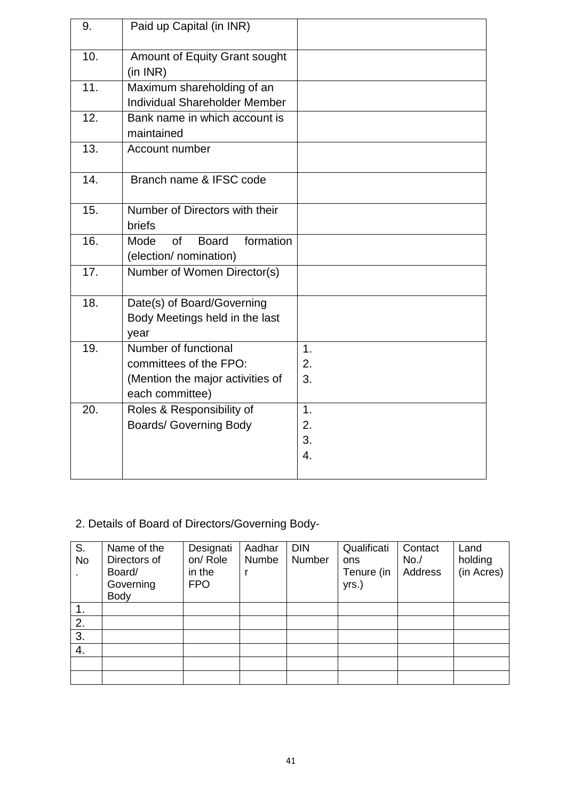| 9.  | Paid up Capital (in INR)                                                                              |                      |
|-----|-------------------------------------------------------------------------------------------------------|----------------------|
| 10. | Amount of Equity Grant sought<br>(in INR)                                                             |                      |
| 11. | Maximum shareholding of an<br><b>Individual Shareholder Member</b>                                    |                      |
| 12. | Bank name in which account is<br>maintained                                                           |                      |
| 13. | Account number                                                                                        |                      |
| 14. | Branch name & IFSC code                                                                               |                      |
| 15. | Number of Directors with their<br>briefs                                                              |                      |
| 16. | formation<br><b>of</b><br><b>Board</b><br>Mode<br>(election/ nomination)                              |                      |
| 17. | Number of Women Director(s)                                                                           |                      |
| 18. | Date(s) of Board/Governing<br>Body Meetings held in the last<br>year                                  |                      |
| 19. | Number of functional<br>committees of the FPO:<br>(Mention the major activities of<br>each committee) | 1.<br>2.<br>3.       |
| 20. | Roles & Responsibility of<br><b>Boards/ Governing Body</b>                                            | 1.<br>2.<br>3.<br>4. |

## 2. Details of Board of Directors/Governing Body-

| S.<br><b>No</b> | Name of the<br>Directors of<br>Board/<br>Governing<br>Body | Designati<br>on/Role<br>in the<br><b>FPO</b> | Aadhar<br>Numbe | <b>DIN</b><br>Number | Qualificati<br>ons<br>Tenure (in<br>yrs.) | Contact<br>No. /<br>Address | Land<br>holding<br>(in Acres) |
|-----------------|------------------------------------------------------------|----------------------------------------------|-----------------|----------------------|-------------------------------------------|-----------------------------|-------------------------------|
|                 |                                                            |                                              |                 |                      |                                           |                             |                               |
| 2.              |                                                            |                                              |                 |                      |                                           |                             |                               |
| 3.              |                                                            |                                              |                 |                      |                                           |                             |                               |
| 4.              |                                                            |                                              |                 |                      |                                           |                             |                               |
|                 |                                                            |                                              |                 |                      |                                           |                             |                               |
|                 |                                                            |                                              |                 |                      |                                           |                             |                               |